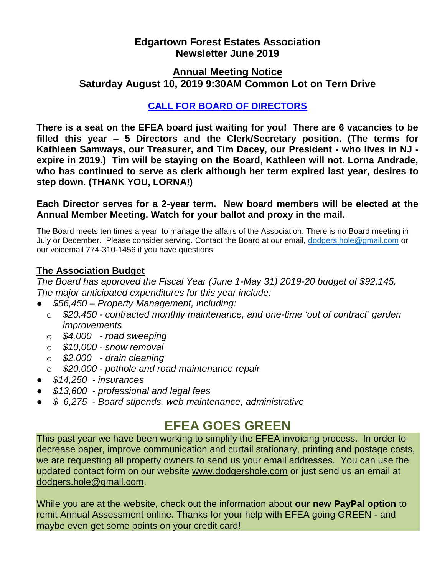## **Edgartown Forest Estates Association Newsletter June 2019**

### **Annual Meeting Notice Saturday August 10, 2019 9:30AM Common Lot on Tern Drive**

## **CALL FOR BOARD OF DIRECTORS**

**There is a seat on the EFEA board just waiting for you! There are 6 vacancies to be filled this year – 5 Directors and the Clerk/Secretary position. (The terms for Kathleen Samways, our Treasurer, and Tim Dacey, our President - who lives in NJ expire in 2019.) Tim will be staying on the Board, Kathleen will not. Lorna Andrade, who has continued to serve as clerk although her term expired last year, desires to step down. (THANK YOU, LORNA!)**

#### **Each Director serves for a 2-year term. New board members will be elected at the Annual Member Meeting. Watch for your ballot and proxy in the mail.**

The Board meets ten times a year to manage the affairs of the Association. There is no Board meeting in July or December. Please consider serving. Contact the Board at our email, [dodgers.hole@gmail.com](mailto:dodgers.hole@gmail.com) or our voicemail 774-310-1456 if you have questions.

#### **The Association Budget**

*The Board has approved the Fiscal Year (June 1-May 31) 2019-20 budget of \$92,145. The major anticipated expenditures for this year include:*

- *\$56,450 – Property Management, including:*
	- o *\$20,450 - contracted monthly maintenance, and one-time 'out of contract' garden improvements*
	- o *\$4,000 - road sweeping*
	- o *\$10,000 - snow removal*
	- o *\$2,000 - drain cleaning*
	- o *\$20,000 - pothole and road maintenance repair*
- *\$14,250 - insurances*
- *\$13,600 - professional and legal fees*
- *\$ 6,275 - Board stipends, web maintenance, administrative*

# **EFEA GOES GREEN**

This past year we have been working to simplify the EFEA invoicing process. In order to decrease paper, improve communication and curtail stationary, printing and postage costs, we are requesting all property owners to send us your email addresses. You can use the updated contact form on our website [www.dodgershole.com](http://www.dodgershole.com/) or just send us an email at [dodgers.hole@gmail.com.](mailto:dodgers.hole@gmail.com)

While you are at the website, check out the information about **our new PayPal option** to remit Annual Assessment online. Thanks for your help with EFEA going GREEN - and maybe even get some points on your credit card!